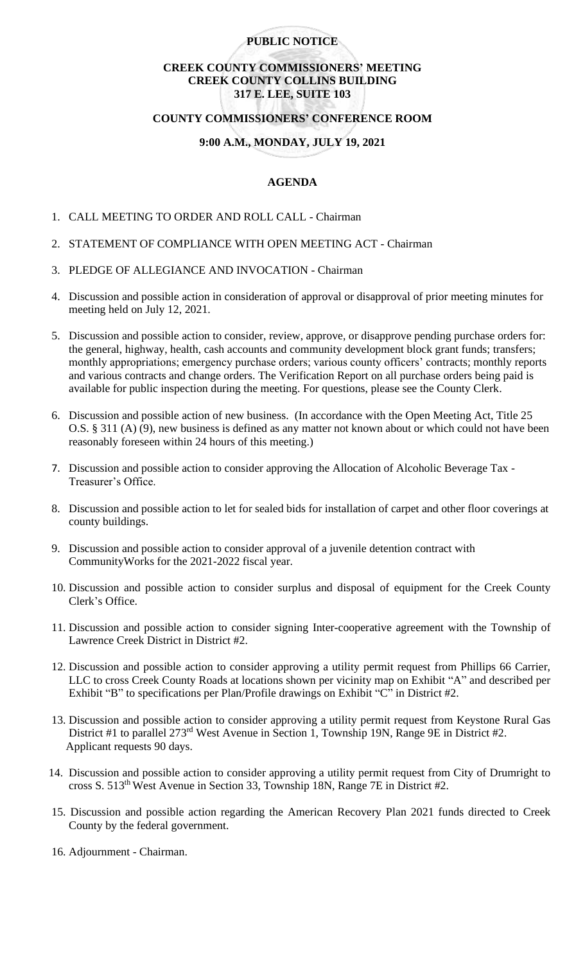### **PUBLIC NOTICE**

# **CREEK COUNTY COMMISSIONERS' MEETING CREEK COUNTY COLLINS BUILDING 317 E. LEE, SUITE 103**

### **COUNTY COMMISSIONERS' CONFERENCE ROOM**

# **9:00 A.M., MONDAY, JULY 19, 2021**

#### **AGENDA**

- 1. CALL MEETING TO ORDER AND ROLL CALL Chairman
- 2. STATEMENT OF COMPLIANCE WITH OPEN MEETING ACT Chairman
- 3. PLEDGE OF ALLEGIANCE AND INVOCATION Chairman
- 4. Discussion and possible action in consideration of approval or disapproval of prior meeting minutes for meeting held on July 12, 2021.
- 5. Discussion and possible action to consider, review, approve, or disapprove pending purchase orders for: the general, highway, health, cash accounts and community development block grant funds; transfers; monthly appropriations; emergency purchase orders; various county officers' contracts; monthly reports and various contracts and change orders. The Verification Report on all purchase orders being paid is available for public inspection during the meeting. For questions, please see the County Clerk.
- 6. Discussion and possible action of new business. (In accordance with the Open Meeting Act, Title 25 O.S. § 311 (A) (9), new business is defined as any matter not known about or which could not have been reasonably foreseen within 24 hours of this meeting.)
- 7. Discussion and possible action to consider approving the Allocation of Alcoholic Beverage Tax Treasurer's Office.
- 8. Discussion and possible action to let for sealed bids for installation of carpet and other floor coverings at county buildings.
- 9. Discussion and possible action to consider approval of a juvenile detention contract with CommunityWorks for the 2021-2022 fiscal year.
- 10. Discussion and possible action to consider surplus and disposal of equipment for the Creek County Clerk's Office.
- 11. Discussion and possible action to consider signing Inter-cooperative agreement with the Township of Lawrence Creek District in District #2.
- 12. Discussion and possible action to consider approving a utility permit request from Phillips 66 Carrier, LLC to cross Creek County Roads at locations shown per vicinity map on Exhibit "A" and described per Exhibit "B" to specifications per Plan/Profile drawings on Exhibit "C" in District #2.
- 13. Discussion and possible action to consider approving a utility permit request from Keystone Rural Gas District #1 to parallel 273<sup>rd</sup> West Avenue in Section 1, Township 19N, Range 9E in District #2. Applicant requests 90 days.
- 14. Discussion and possible action to consider approving a utility permit request from City of Drumright to cross S. 513th West Avenue in Section 33, Township 18N, Range 7E in District #2.
- 15. Discussion and possible action regarding the American Recovery Plan 2021 funds directed to Creek County by the federal government.
- 16. Adjournment Chairman.